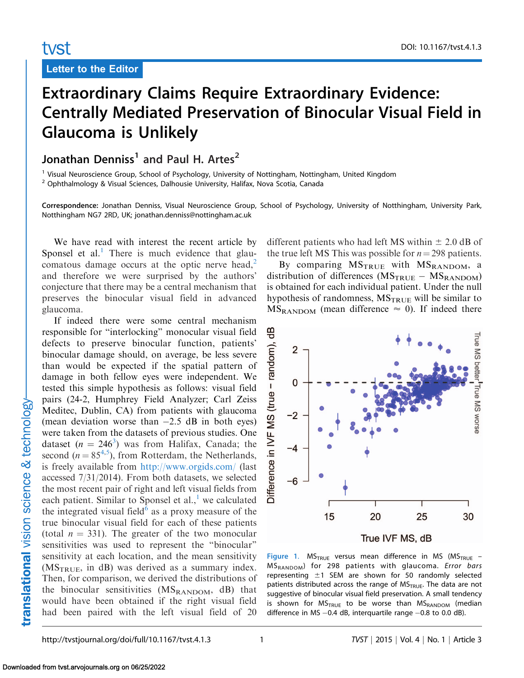## <span id="page-0-0"></span>tyst

Letter to the Editor

## Extraordinary Claims Require Extraordinary Evidence: Centrally Mediated Preservation of Binocular Visual Field in Glaucoma is Unlikely

## Jonathan Denniss<sup>1</sup> and Paul H. Artes<sup>2</sup>

<sup>1</sup> Visual Neuroscience Group, School of Psychology, University of Nottingham, Nottingham, United Kingdom <sup>2</sup> Ophthalmology & Visual Sciences, Dalhousie University, Halifax, Nova Scotia, Canada

Correspondence: Jonathan Denniss, Visual Neuroscience Group, School of Psychology, University of Notthingham, University Park, Notthingham NG7 2RD, UK; jonathan.denniss@nottingham.ac.uk

We have read with interest the recent article by Sponsel et al. $<sup>1</sup>$  There is much evidence that glau-</sup> comatous damage occurs at the optic nerve head, $<sup>2</sup>$  $<sup>2</sup>$  $<sup>2</sup>$ </sup> and therefore we were surprised by the authors' conjecture that there may be a central mechanism that preserves the binocular visual field in advanced glaucoma.

If indeed there were some central mechanism responsible for ''interlocking'' monocular visual field defects to preserve binocular function, patients' binocular damage should, on average, be less severe than would be expected if the spatial pattern of damage in both fellow eyes were independent. We tested this simple hypothesis as follows: visual field pairs (24-2, Humphrey Field Analyzer; Carl Zeiss Meditec, Dublin, CA) from patients with glaucoma (mean deviation worse than  $-2.5$  dB in both eyes) were taken from the datasets of previous studies. One dataset  $(n = 246^3)$  $(n = 246^3)$  $(n = 246^3)$  was from Halifax, Canada; the second ( $n = 85^{4,5}$  $n = 85^{4,5}$  $n = 85^{4,5}$ ), from Rotterdam, the Netherlands, is freely available from <http://www.orgids.com/> (last accessed 7/31/2014). From both datasets, we selected the most recent pair of right and left visual fields from each patient. Similar to Sponsel et al., $\frac{1}{1}$  $\frac{1}{1}$  $\frac{1}{1}$  we calculated the integrated visual field<sup>[6](#page-1-0)</sup> as a proxy measure of the true binocular visual field for each of these patients (total  $n = 331$ ). The greater of the two monocular sensitivities was used to represent the ''binocular'' sensitivity at each location, and the mean sensitivity  $(MS_{TRUE}$ , in dB) was derived as a summary index. Then, for comparison, we derived the distributions of the binocular sensitivities  $(MS_{RANDOM}, dB)$  that would have been obtained if the right visual field had been paired with the left visual field of 20

different patients who had left MS within  $\pm$  2.0 dB of the true left MS This was possible for  $n = 298$  patients.

By comparing  $MS_{\text{TRUE}}$  with  $MS_{\text{RANDOM}}$ , a distribution of differences ( $MS_{\text{TRUE}} - MS_{\text{RANDOM}}$ ) is obtained for each individual patient. Under the null hypothesis of randomness,  $MS_{TRUE}$  will be similar to  $MS_{\text{RANDOM}}$  (mean difference  $\approx$  0). If indeed there



Figure 1.  $MS_{TRUE}$  versus mean difference in MS (MS<sub>TRUE</sub> – MSRANDOM) for 298 patients with glaucoma. Error bars representing  $\pm 1$  SEM are shown for 50 randomly selected patients distributed across the range of  $MS$ <sub>TRUE</sub>. The data are not suggestive of binocular visual field preservation. A small tendency is shown for  $MS_{TRUE}$  to be worse than  $MS_{RANDOM}$  (median difference in MS -0.4 dB, interquartile range -0.8 to 0.0 dB).